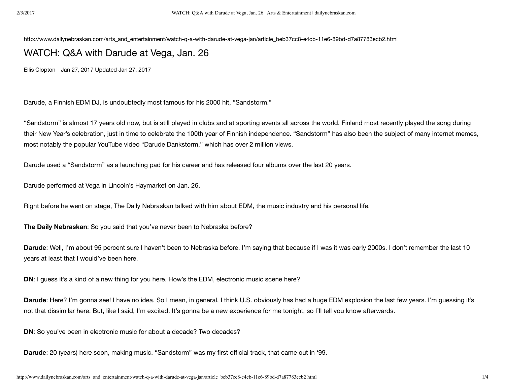http://www.dailynebraskan.com/arts\_and\_entertainment/watch-q-a-with-darude-at-vega-jan/article\_beb37cc8-e4cb-11e6-89bd-d7a87783ecb2.html

## WATCH: Q&A with Darude at Vega, Jan. 26

Ellis Clopton Jan 27, 2017 Updated Jan 27, 2017

Darude, a Finnish EDM DJ, is undoubtedly most famous for his 2000 hit, "Sandstorm."

"Sandstorm" is almost 17 years old now, but is still played in clubs and at sporting events all across the world. Finland most recently played the song during their New Year's celebration, just in time to celebrate the 100th year of Finnish independence. "Sandstorm" has also been the subject of many internet memes, most notably the popular YouTube video "Darude Dankstorm," which has over 2 million views.

Darude used a "Sandstorm" as a launching pad for his career and has released four albums over the last 20 years.

Darude performed at Vega in Lincoln's Haymarket on Jan. 26.

Right before he went on stage, The Daily Nebraskan talked with him about EDM, the music industry and his personal life.

**The Daily Nebraskan**: So you said that you've never been to Nebraska before?

**Darude**: Well, I'm about 95 percent sure I haven't been to Nebraska before. I'm saying that because if I was it was early 2000s. I don't remember the last 10 years at least that I would've been here.

**DN:** I guess it's a kind of a new thing for you here. How's the EDM, electronic music scene here?

**Darude**: Here? I'm gonna see! I have no idea. So I mean, in general, I think U.S. obviously has had a huge EDM explosion the last few years. I'm guessing it's not that dissimilar here. But, like I said, I'm excited. It's gonna be a new experience for me tonight, so I'll tell you know afterwards.

**DN:** So you've been in electronic music for about a decade? Two decades?

**Darude**: 20 (years) here soon, making music. "Sandstorm" was my first official track, that came out in '99.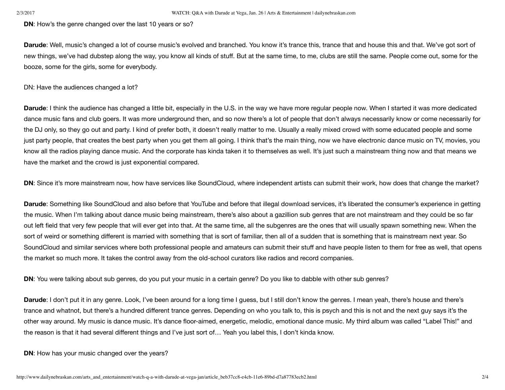**DN**: How's the genre changed over the last 10 years or so?

**Darude**: Well, music's changed a lot of course music's evolved and branched. You know it's trance this, trance that and house this and that. We've got sort of new things, we've had dubstep along the way, you know all kinds of stuff. But at the same time, to me, clubs are still the same. People come out, some for the booze, some for the girls, some for everybody.

DN: Have the audiences changed a lot?

**Darude**: I think the audience has changed a little bit, especially in the U.S. in the way we have more regular people now. When I started it was more dedicated dance music fans and club goers. It was more underground then, and so now there's a lot of people that don't always necessarily know or come necessarily for the DJ only, so they go out and party. I kind of prefer both, it doesn't really matter to me. Usually a really mixed crowd with some educated people and some just party people, that creates the best party when you get them all going. I think that's the main thing, now we have electronic dance music on TV, movies, you know all the radios playing dance music. And the corporate has kinda taken it to themselves as well. It's just such a mainstream thing now and that means we have the market and the crowd is just exponential compared.

**DN**: Since it's more mainstream now, how have services like SoundCloud, where independent artists can submit their work, how does that change the market?

**Darude**: Something like SoundCloud and also before that YouTube and before that illegal download services, it's liberated the consumer's experience in getting the music. When I'm talking about dance music being mainstream, there's also about a gazillion sub genres that are not mainstream and they could be so far out left field that very few people that will ever get into that. At the same time, all the subgenres are the ones that will usually spawn something new. When the sort of weird or something different is married with something that is sort of familiar, then all of a sudden that is something that is mainstream next year. So SoundCloud and similar services where both professional people and amateurs can submit their stuff and have people listen to them for free as well, that opens the market so much more. It takes the control away from the old-school curators like radios and record companies.

**DN**: You were talking about sub genres, do you put your music in a certain genre? Do you like to dabble with other sub genres?

**Darude**: I don't put it in any genre. Look, I've been around for a long time I guess, but I still don't know the genres. I mean yeah, there's house and there's trance and whatnot, but there's a hundred different trance genres. Depending on who you talk to, this is psych and this is not and the next guy says it's the other way around. My music is dance music. It's dance floor-aimed, energetic, melodic, emotional dance music. My third album was called "Label This!" and the reason is that it had several different things and I've just sort of… Yeah you label this, I don't kinda know.

**DN:** How has your music changed over the years?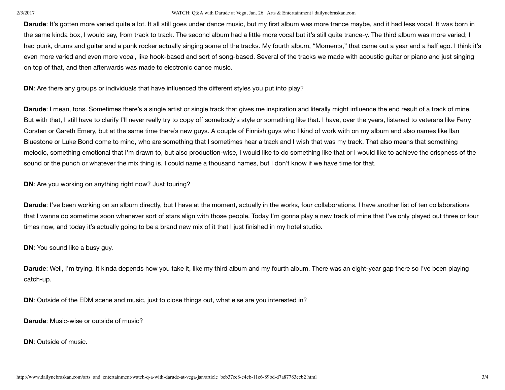## 2/3/2017 WATCH: Q&A with Darude at Vega, Jan. 26 | Arts & Entertainment | dailynebraskan.com

**Darude**: It's gotten more varied quite a lot. It all still goes under dance music, but my first album was more trance maybe, and it had less vocal. It was born in the same kinda box, I would say, from track to track. The second album had a little more vocal but it's still quite trance-y. The third album was more varied; I had punk, drums and guitar and a punk rocker actually singing some of the tracks. My fourth album, "Moments," that came out a year and a half ago. I think it's even more varied and even more vocal, like hook-based and sort of song-based. Several of the tracks we made with acoustic guitar or piano and just singing on top of that, and then afterwards was made to electronic dance music.

**DN:** Are there any groups or individuals that have influenced the different styles you put into play?

**Darude**: I mean, tons. Sometimes there's a single artist or single track that gives me inspiration and literally might influence the end result of a track of mine. But with that, I still have to clarify I'll never really try to copy off somebody's style or something like that. I have, over the years, listened to veterans like Ferry Corsten or Gareth Emery, but at the same time there's new guys. A couple of Finnish guys who I kind of work with on my album and also names like Ilan Bluestone or Luke Bond come to mind, who are something that I sometimes hear a track and I wish that was my track. That also means that something melodic, something emotional that I'm drawn to, but also production-wise, I would like to do something like that or I would like to achieve the crispness of the sound or the punch or whatever the mix thing is. I could name a thousand names, but I don't know if we have time for that.

**DN**: Are you working on anything right now? Just touring?

**Darude**: I've been working on an album directly, but I have at the moment, actually in the works, four collaborations. I have another list of ten collaborations that I wanna do sometime soon whenever sort of stars align with those people. Today I'm gonna play a new track of mine that I've only played out three or four times now, and today it's actually going to be a brand new mix of it that I just finished in my hotel studio.

**DN:** You sound like a busy guy.

**Darude**: Well, I'm trying. It kinda depends how you take it, like my third album and my fourth album. There was an eight-year gap there so I've been playing catch-up.

**DN:** Outside of the EDM scene and music, just to close things out, what else are you interested in?

**Darude**: Music-wise or outside of music?

**DN**: Outside of music.